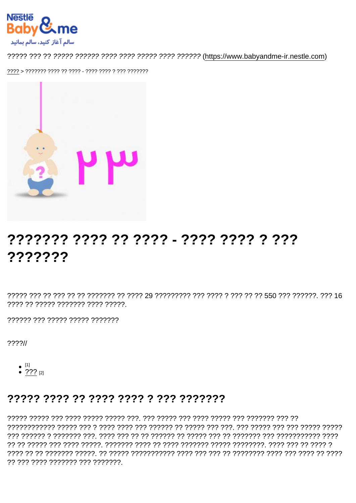# ??????? ???? ???? - ???? ???? ???? ???????

???? ?? ????? ??????? ???? ?????.

777777 77777 77777 777777777

 $??\frac{?}{'}$ 

 $\bullet$  [1]

• ??? [2]

## ????? ???? ?? ???? ???? ? ??? ???????

77 777 7777 7777777 777 7777777